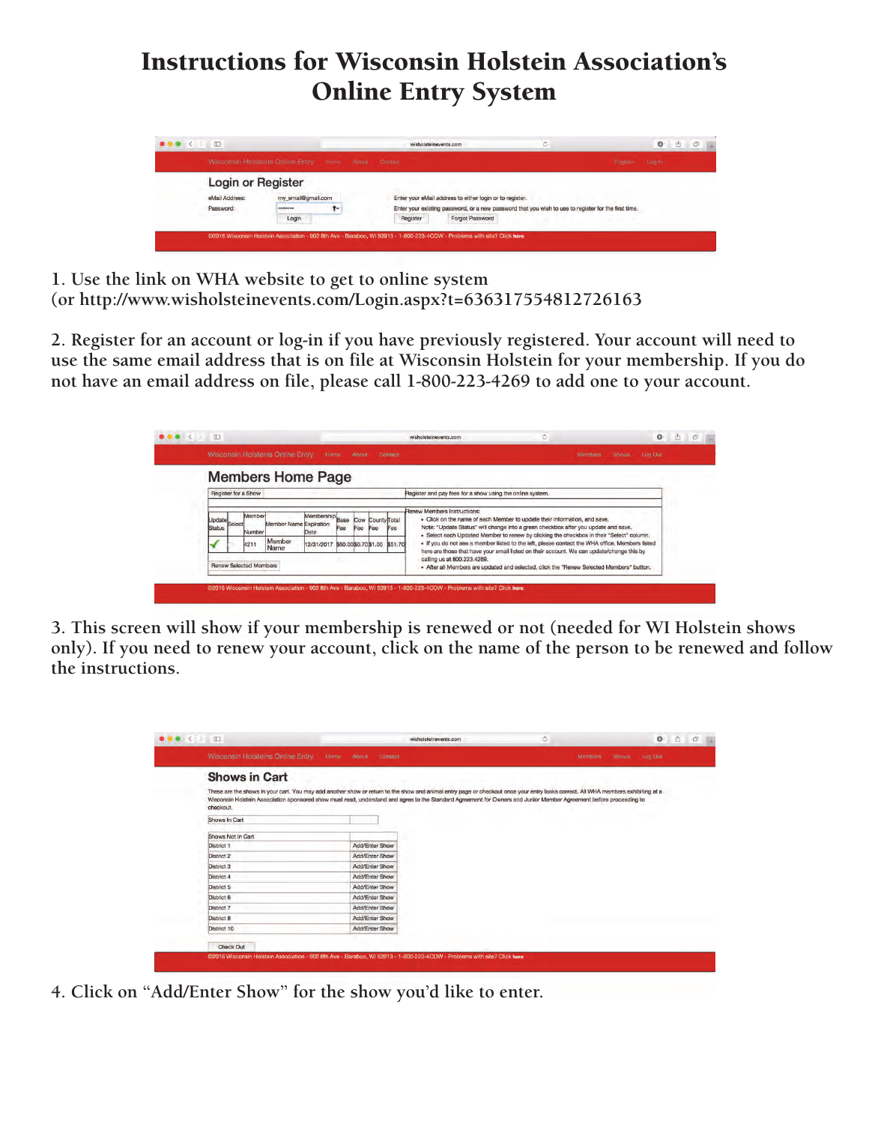## **Instructions for Wisconsin Holstein Association's Online Entry System**

|                   | Wisconsin Holsteins Online Entry Home About Contact |    |                                                                                                      | <b>Register</b> | Log In |
|-------------------|-----------------------------------------------------|----|------------------------------------------------------------------------------------------------------|-----------------|--------|
| Login or Register |                                                     |    |                                                                                                      |                 |        |
| eMail Address:    | my_email@gmail.com                                  |    | Enter your eMail address to either login or to register.                                             |                 |        |
|                   |                                                     | ۴v | Enter your existing password, or a new password that you wish to use to register for the first time. |                 |        |
| Password:         |                                                     |    |                                                                                                      |                 |        |

**1. Use the link on WHA website to get to online system (or http://www.wisholsteinevents.com/Login.aspx?t=636317554812726163**

**2. Register for an account or log-in if you have previously registered. Your account will need to use the same email address that is on file at Wisconsin Holstein for your membership. If you do not have an email address on file, please call 1-800-223-4269 to add one to your account.**

|                               |                                                               | Wisconsin Holsteins Online Entry           | Home                |             | About |                         | Contact                                                   | <b>Members</b><br>Log Out<br>Shows                                                                                                                                                                                                                                                                |  |
|-------------------------------|---------------------------------------------------------------|--------------------------------------------|---------------------|-------------|-------|-------------------------|-----------------------------------------------------------|---------------------------------------------------------------------------------------------------------------------------------------------------------------------------------------------------------------------------------------------------------------------------------------------------|--|
|                               |                                                               | <b>Members Home Page</b>                   |                     |             |       |                         |                                                           |                                                                                                                                                                                                                                                                                                   |  |
| Register for a Show           |                                                               |                                            |                     |             |       |                         | Register and pay fees for a show using the online system. |                                                                                                                                                                                                                                                                                                   |  |
| <b>Status</b>                 | Update <sup>Select</sup>                                      | Member<br>Member Name Expiration<br>Number | Membership.<br>Date | Base<br>Fee | Fee   | Cow County Total<br>Fee | Fee                                                       | <b>Renew Members Instructions:</b><br>- Click on the name of each Member to update their information, and save.<br>Note: "Update Status" will change into a green checkbox after you update and save.<br>- Select each Updated Member to renew by clicking the checkbox in their "Select" column. |  |
|                               | Member<br>12/31/2017<br>\$50.00 \$0.70 \$1.00<br>4211<br>Name |                                            |                     |             |       |                         | \$51.70                                                   | . If you do not see a member listed to the left, please contact the WHA office. Members listed<br>here are those that have your email listed on their account. We can update/change this by                                                                                                       |  |
| <b>Renew Selected Members</b> |                                                               |                                            |                     |             |       |                         |                                                           | calling us at 800.223.4269.<br>- After all Members are updated and selected, click the "Renew Selected Members" button.                                                                                                                                                                           |  |

**3. This screen will show if your membership is renewed or not (needed for WI Holstein shows only). If you need to renew your account, click on the name of the person to be renewed and follow the instructions.**

| <b>Wisconsin Holsteins Online Entry</b><br>Home                                                                                                                                                                                                                                                                                                                       | About<br>Contact |  | <b>Members</b> | Shows | Log Out |
|-----------------------------------------------------------------------------------------------------------------------------------------------------------------------------------------------------------------------------------------------------------------------------------------------------------------------------------------------------------------------|------------------|--|----------------|-------|---------|
| <b>Shows in Cart</b>                                                                                                                                                                                                                                                                                                                                                  |                  |  |                |       |         |
| These are the shows in your cart. You may add another show or return to the show and animal entry page or checkout once your entry looks correct. All WHA members exhibiting at a<br>Wisconsin Holstein Association sponsored show must read, understand and agree to the Standard Agreement for Owners and Junior Member Agreement before proceeding to<br>checkout. |                  |  |                |       |         |
| Shows In Cart                                                                                                                                                                                                                                                                                                                                                         |                  |  |                |       |         |
| Shows Not In Cart                                                                                                                                                                                                                                                                                                                                                     |                  |  |                |       |         |
| <b>District 1</b>                                                                                                                                                                                                                                                                                                                                                     | Add/Enter Show   |  |                |       |         |
| District 2                                                                                                                                                                                                                                                                                                                                                            | Add/Enter Show   |  |                |       |         |
| District 3                                                                                                                                                                                                                                                                                                                                                            | Add/Enter Show   |  |                |       |         |
| District 4                                                                                                                                                                                                                                                                                                                                                            | Add/Enter Show   |  |                |       |         |
| District 5                                                                                                                                                                                                                                                                                                                                                            | Add/Enter Show   |  |                |       |         |
| District 6                                                                                                                                                                                                                                                                                                                                                            | Add/Enter Show   |  |                |       |         |
| District 7                                                                                                                                                                                                                                                                                                                                                            | Add/Enter Show   |  |                |       |         |
| District 8                                                                                                                                                                                                                                                                                                                                                            | Add/Enter Show   |  |                |       |         |
| District 10                                                                                                                                                                                                                                                                                                                                                           | Add/Enter Show   |  |                |       |         |
|                                                                                                                                                                                                                                                                                                                                                                       |                  |  |                |       |         |
| Check Out                                                                                                                                                                                                                                                                                                                                                             |                  |  |                |       |         |

**4. Click on "Add/Enter Show" for the show you'd like to enter.**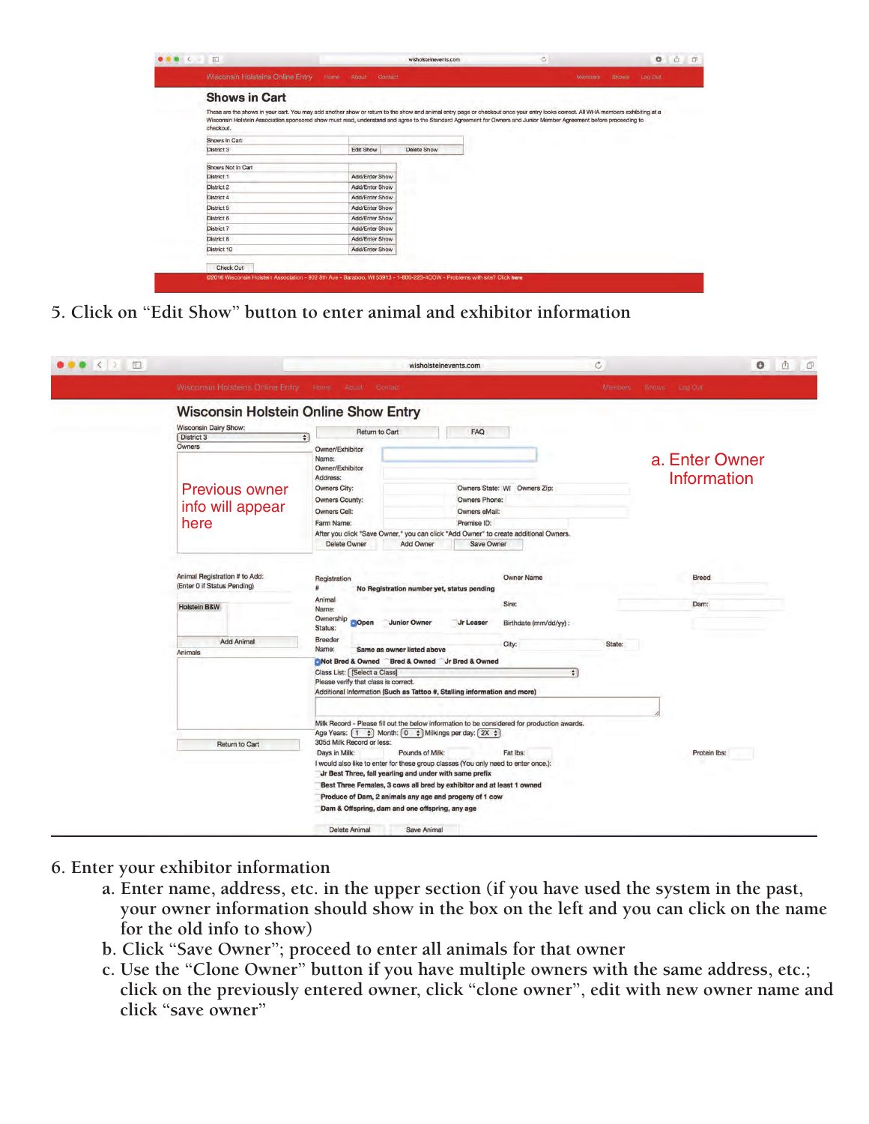| Wisconsin Holsteins Online Entry                                                                                                                                                                                                                                                                                                                                      | Home<br>About<br>Contact |                    | <b>Members</b> | <b>Shows</b> | Log Out |
|-----------------------------------------------------------------------------------------------------------------------------------------------------------------------------------------------------------------------------------------------------------------------------------------------------------------------------------------------------------------------|--------------------------|--------------------|----------------|--------------|---------|
| <b>Shows in Cart</b>                                                                                                                                                                                                                                                                                                                                                  |                          |                    |                |              |         |
| These are the shows in your cart. You may add another show or return to the show and animal entry page or checkout once your entry looks correct. All WHA members exhibiting at a<br>Wisconsin Holstein Association sponsored show must read, understand and agree to the Standard Agreement for Owners and Junior Member Agreement before proceeding to<br>checkout. |                          |                    |                |              |         |
| Shows In Cart                                                                                                                                                                                                                                                                                                                                                         |                          |                    |                |              |         |
| District 3                                                                                                                                                                                                                                                                                                                                                            | <b>Edit Show</b>         | <b>Delete Show</b> |                |              |         |
| Shows Not In Cart                                                                                                                                                                                                                                                                                                                                                     |                          |                    |                |              |         |
| District 1                                                                                                                                                                                                                                                                                                                                                            | Add/Enter Show           |                    |                |              |         |
| District 2                                                                                                                                                                                                                                                                                                                                                            | Add/Enter Show           |                    |                |              |         |
| District 4                                                                                                                                                                                                                                                                                                                                                            | Add/Enter Show           |                    |                |              |         |
| District 5                                                                                                                                                                                                                                                                                                                                                            | Add/Enter Show           |                    |                |              |         |
| District 6                                                                                                                                                                                                                                                                                                                                                            | Add/Enter Show           |                    |                |              |         |
| District 7                                                                                                                                                                                                                                                                                                                                                            | Add/Enter Show           |                    |                |              |         |
| District 8                                                                                                                                                                                                                                                                                                                                                            | Add/Enter Show           |                    |                |              |         |
| District 10                                                                                                                                                                                                                                                                                                                                                           | Add/Enter Show           |                    |                |              |         |
|                                                                                                                                                                                                                                                                                                                                                                       |                          |                    |                |              |         |

**5. Click on "Edit Show" button to enter animal and exhibitor information**

|                                                                      | wisholsteinevents.com                                                                                                                                                                                                                                                                                         | $\circ$        | $\circ$<br>西<br>o             |
|----------------------------------------------------------------------|---------------------------------------------------------------------------------------------------------------------------------------------------------------------------------------------------------------------------------------------------------------------------------------------------------------|----------------|-------------------------------|
| Wisconsin Holsteins Online Entry Home                                | About Contact                                                                                                                                                                                                                                                                                                 | <b>Members</b> | Shows Log Out                 |
| Wisconsin Holstein Online Show Entry<br><b>Wisconsin Dairy Show:</b> | FAQ<br><b>Return to Cart</b>                                                                                                                                                                                                                                                                                  |                |                               |
| <b>District 3</b>                                                    |                                                                                                                                                                                                                                                                                                               |                |                               |
| Owners<br><b>Previous owner</b>                                      | Owner/Exhibitor<br>Name:<br>Owner/Exhibitor<br>Address:<br>Owners State: WI Owners Zip:<br>Owners City:                                                                                                                                                                                                       |                | a. Enter Owner<br>Information |
|                                                                      | <b>Owners County:</b><br><b>Owners Phone:</b>                                                                                                                                                                                                                                                                 |                |                               |
| info will appear                                                     | <b>Owners Cell:</b><br>Owners eMail:                                                                                                                                                                                                                                                                          |                |                               |
| here                                                                 | Farm Name:<br>Premise ID:                                                                                                                                                                                                                                                                                     |                |                               |
|                                                                      | After you click "Save Owner," you can click "Add Owner" to create additional Owners.<br>Add Owner<br><b>Delete Owner</b><br>Save Owner                                                                                                                                                                        |                |                               |
| Animal Registration # to Add:<br>(Enter 0 if Status Pending)         | <b>Owner Name</b><br>Registration<br>#<br>No Registration number yet, status pending                                                                                                                                                                                                                          |                | <b>Breed</b>                  |
| <b>Holstein B&amp;W</b>                                              | Animal<br>Sire:                                                                                                                                                                                                                                                                                               |                | Dam:                          |
|                                                                      | Name:<br>Ownership<br><b>Junior Owner</b><br><b>DOpen</b><br>Jr Leaser<br>Birthdate (mm/dd/yy):<br>Status:                                                                                                                                                                                                    |                |                               |
| <b>Add Animal</b>                                                    | <b>Breeder</b><br>City:                                                                                                                                                                                                                                                                                       | State:         |                               |
| Animals                                                              | Name:<br>Same as owner listed above                                                                                                                                                                                                                                                                           |                |                               |
|                                                                      | Not Bred & Owned Bred & Owned Jr Bred & Owned                                                                                                                                                                                                                                                                 |                |                               |
|                                                                      | Class List: [Select a Class]                                                                                                                                                                                                                                                                                  | $\div$         |                               |
|                                                                      | Please verify that class is correct.                                                                                                                                                                                                                                                                          |                |                               |
|                                                                      | Additional Information (Such as Tattoo #, Stalling information and more)                                                                                                                                                                                                                                      |                |                               |
| <b>Return to Cart</b>                                                | Milk Record - Please fill out the below information to be considered for production awards.<br>Age Years: $\begin{pmatrix} 1 & 1 \\ 1 & 1 \end{pmatrix}$ Month: $\begin{pmatrix} 0 & 1 \\ 0 & 1 \end{pmatrix}$ Milkings per day: $\begin{pmatrix} 2X & 1 \\ 1 & 1 \end{pmatrix}$<br>305d Milk Record or less: |                |                               |
|                                                                      | Pounds of Milk:<br>Fat Ibs:<br>Days in Milk:<br>I would also like to enter for these group classes (You only need to enter once.):<br>Jr Best Three, fall yearling and under with same prefix                                                                                                                 |                | Protein Ibs:                  |
|                                                                      | Best Three Females, 3 cows all bred by exhibitor and at least 1 owned                                                                                                                                                                                                                                         |                |                               |
|                                                                      | Produce of Dam, 2 animals any age and progeny of 1 cow                                                                                                                                                                                                                                                        |                |                               |
|                                                                      | Dam & Offspring, dam and one offspring, any age                                                                                                                                                                                                                                                               |                |                               |
|                                                                      | <b>Delete Animal</b><br><b>Save Animal</b>                                                                                                                                                                                                                                                                    |                |                               |

- **6. Enter your exhibitor information**
	- **a. Enter name, address, etc. in the upper section (if you have used the system in the past, your owner information should show in the box on the left and you can click on the name for the old info to show)**
	- **b. Click "Save Owner"; proceed to enter all animals for that owner**
	- **c. Use the "Clone Owner" button if you have multiple owners with the same address, etc.; click on the previously entered owner, click "clone owner", edit with new owner name and click "save owner"**